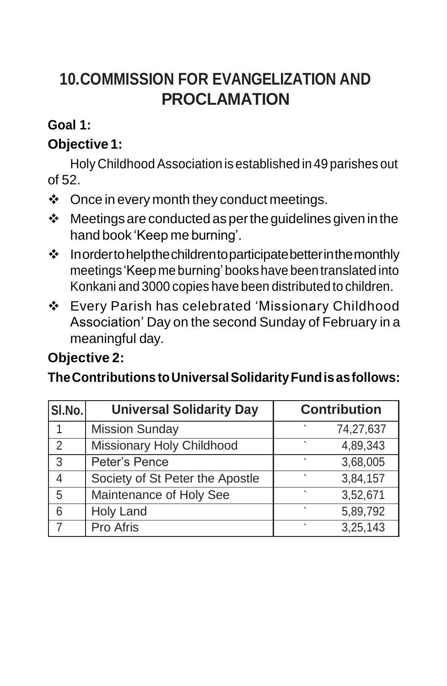# **10.COMMISSION FOR EVANGELIZATION AND PROCLAMATION**

### **Goal 1:**

## **Objective 1:**

Holy Childhood Association is established in 49 parishes out of 52.

- $\div$  Once in every month they conduct meetings.
- $\div$  Meetings are conducted as per the guidelines given in the hand book 'Keep me burning'.
- $\cdot$  Inordertohelpthe childrentoparticipate better in the monthly meetings 'Keep me burning'bookshave been translated into Konkani and 3000 copies have been distributed to children.
- Every Parish has celebrated 'Missionary Childhood Association' Day on the second Sunday of February in a meaningful day.

## **Objective 2:**

**TheContributions toUniversalSolidarityFundisasfollows:**

| SI.No.         | <b>Universal Solidarity Day</b> | <b>Contribution</b> |
|----------------|---------------------------------|---------------------|
| 1              | <b>Mission Sunday</b>           | 74,27,637           |
| $\overline{2}$ | Missionary Holy Childhood       | 4,89,343            |
| 3              | Peter's Pence                   | 3,68,005<br>۰       |
| 4              | Society of St Peter the Apostle | 3,84,157            |
| 5              | Maintenance of Holy See         | 3,52,671            |
| 6              | <b>Holy Land</b>                | 5,89,792<br>٠       |
| $\overline{7}$ | Pro Afris                       | 3,25,143            |